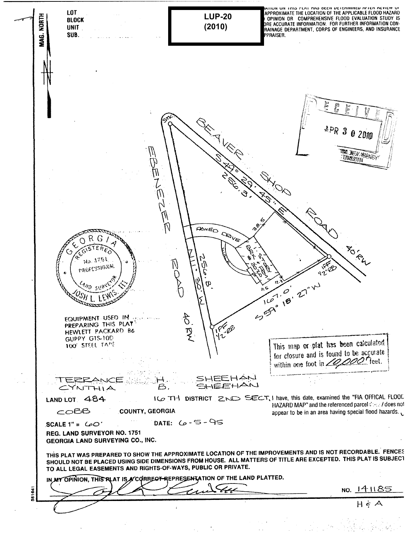INTIUN UN THIS FLAT HAS OCCH DETENNINED AFTEN NEVIEW UT.<br>APPROXIMATE THE LOCATION OF THE APPLICABLE FLOOD HAZARD. **LOT NORTH LUP-20** THE MONIMUM OR COMPREHENSIVE FLOOD EVALUATION STUDY IS<br>| OPINION OR COMPREHENSIVE FLOOD EVALUATION STUDY IS<br>DRE ACCURATE INFORMATION. FOR FURTHER INFORMATION CON-**BLOCK (2010)UNIT** RAINAGE DEPARTMENT, CORPS OF ENGINEERS, AND INSURANCE ga<br>Sa SUB. PPRAISER. **CRANCE**  $APR$  3 0 2010 **VIDTO JUEV ABLEWEY** Íl<br>7 DAR KEY **PANED DOVE**  $ORG$ **POINTLY** C GISTER **PATE** ५  $\breve{\mathcal{O}}$ No. 3753 PROFESSIONAL 550° 18' 27" W  $f_{\mathcal{E}}$ ה המחינים ביצי 40 PM EQUIPMENT USED IN IPF@e HEWLETT PACKARD B6 GUPPY GTS-10D This map or plat has been calculated 100' STEEL TAPE for closure and is found to be accurate within one foot in 20,000 feet. SHEEHAN TERRANCE SHEEHAN CYNTHIA  $\boldsymbol{\beta}$  , ICO TH DISTRICT ZND SECT, I have, this date, examined the "FIA OFFICAL FLOOD LAND LOT 484 HAZARD MAP" and the referenced parcel Could does not  $COEB$ COUNTY, GEORGIA appear to be in an area having special flood hazards. DATE:  $6 - 5 - 95$ SCALE 1" =  $\omega$ <sup>-</sup> REG. LAND SURVEYOR NO. 1751 GEORGIA LAND SURVEYING CO., INC. THIS PLAT WAS PREPARED TO SHOW THE APPROXIMATE LOCATION OF THE IMPROVEMENTS AND IS NOT RECORDABLE. FENCES THIS PLAT WAS PREPARED TO SHOW THE APPROXIMATE LOCATION OF THE IMPROVEMENTS AND TO NOT HESPITATED THIS PLAT IS<br>SHOULD NOT BE PLACED USING SIDE DIMENSIONS FROM HOUSE. ALL MATTERS OF TITLE ARE EXCEPTED. THIS PLAT IS SUBJECT TO ALL LEGAL EASEMENTS AND RIGHTS-OF-WAYS, PUBLIC OR PRIVATE. IN MY OPINION, THIS RLAT IS ACCORBECT REPRESENTATION OF THE LAND PLATTED. NO. 141185 581641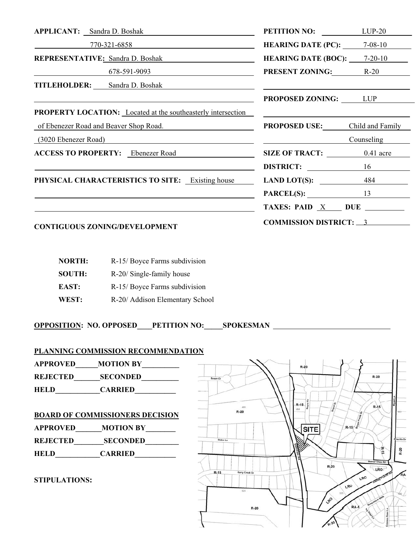| <b>APPLICANT:</b> Sandra D. Boshak                                                                                                                                                                                             | <b>PETITION NO:</b> LUP-20            |            |  |
|--------------------------------------------------------------------------------------------------------------------------------------------------------------------------------------------------------------------------------|---------------------------------------|------------|--|
| $770-321-6858$                                                                                                                                                                                                                 | <b>HEARING DATE (PC):</b> $7-08-10$   |            |  |
| <b>REPRESENTATIVE:</b> Sandra D. Boshak<br><u> 1990 - Johann Barbara, martin a</u>                                                                                                                                             | <b>HEARING DATE (BOC):</b> $7-20-10$  |            |  |
| 678-59 <u>1-9093</u>                                                                                                                                                                                                           | <b>PRESENT ZONING:</b> R-20           |            |  |
| <b>TITLEHOLDER:</b> Sandra D. Boshak                                                                                                                                                                                           |                                       |            |  |
|                                                                                                                                                                                                                                | <b>PROPOSED ZONING:</b> LUP           |            |  |
| <b>PROPERTY LOCATION:</b> Located at the southeasterly intersection                                                                                                                                                            |                                       |            |  |
| of Ebenezer Road and Beaver Shop Road.                                                                                                                                                                                         | <b>PROPOSED USE:</b> Child and Family |            |  |
| (3020 Ebenezer Road) and the contract of the contract of the contract of the contract of the contract of the contract of the contract of the contract of the contract of the contract of the contract of the contract of the c |                                       | Counseling |  |
| <b>ACCESS TO PROPERTY:</b> Ebenezer Road                                                                                                                                                                                       | SIZE OF TRACT: 0.41 acre              |            |  |
|                                                                                                                                                                                                                                | DISTRICT: 16                          |            |  |
| <b>PHYSICAL CHARACTERISTICS TO SITE:</b> Existing house                                                                                                                                                                        | LAND LOT(S): $\frac{484}{\sqrt{15}}$  |            |  |
|                                                                                                                                                                                                                                | $PARCEL(S):$ 13                       |            |  |
|                                                                                                                                                                                                                                | TAXES: PAID X DUE                     |            |  |
| <b>CONTIGUOUS ZONING/DEVELOPMENT</b>                                                                                                                                                                                           | <b>COMMISSION DISTRICT: 3</b>         |            |  |

| <b>NORTH:</b> | R-15/Boyce Farms subdivision    |
|---------------|---------------------------------|
| <b>SOUTH:</b> | R-20/ Single-family house       |
| EAST:         | R-15/Boyce Farms subdivision    |
| WEST:         | R-20/ Addison Elementary School |

**OPPOSITION: NO. OPPOSED\_\_\_\_PETITION NO:\_\_\_\_\_SPOKESMAN** 

**PLANNING COMMISSION RECOMMENDATION**

**APPROVED\_\_\_\_\_\_MOTION BY\_\_\_\_\_\_\_\_\_\_ REJECTED\_\_\_\_\_\_\_SECONDED\_\_\_\_\_\_\_\_\_\_ HELD\_\_\_\_\_\_\_\_\_\_\_\_CARRIED\_\_\_\_\_\_\_\_\_\_\_ BOARD OF COMMISSIONERS DECISION APPROVED** MOTION BY **REJECTED\_\_\_\_\_\_\_\_SECONDED\_\_\_\_\_\_\_\_\_ HELD\_\_\_\_\_\_\_\_\_\_\_\_CARRIED\_\_\_\_\_\_\_\_\_\_\_** 

**STIPULATIONS:**

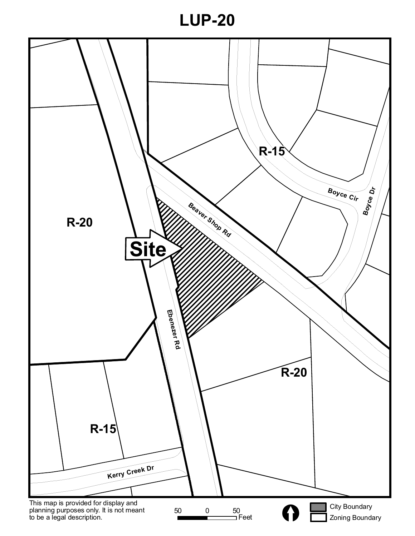

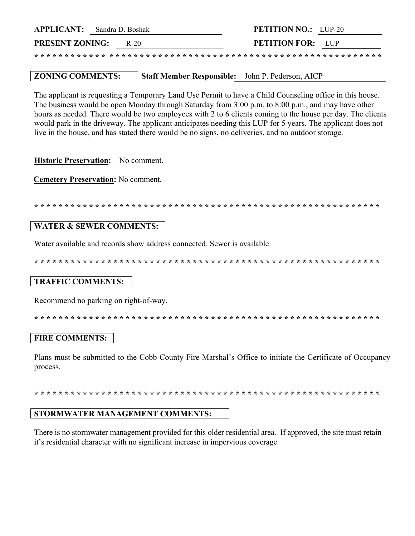| <b>APPLICANT:</b> Sandra D. Boshak |        | <b>PETITION NO.:</b> LUP-20 |  |
|------------------------------------|--------|-----------------------------|--|
| <b>PRESENT ZONING:</b>             | $R-20$ | <b>PETITION FOR:</b> LUP    |  |
|                                    |        |                             |  |

#### **ZONING COMMENTS:** Staff Member Responsible: John P. Pederson, AICP

The applicant is requesting a Temporary Land Use Permit to have a Child Counseling office in this house. The business would be open Monday through Saturday from 3:00 p.m. to 8:00 p.m., and may have other hours as needed. There would be two employees with 2 to 6 clients coming to the house per day. The clients would park in the driveway. The applicant anticipates needing this LUP for 5 years. The applicant does not live in the house, and has stated there would be no signs, no deliveries, and no outdoor storage.

Historic Preservation: No comment.

**Cemetery Preservation: No comment.** 

# **WATER & SEWER COMMENTS:**

Water available and records show address connected. Sewer is available.

# **TRAFFIC COMMENTS:**

Recommend no parking on right-of-way.

#### **FIRE COMMENTS:**

Plans must be submitted to the Cobb County Fire Marshal's Office to initiate the Certificate of Occupancy process.

# STORMWATER MANAGEMENT COMMENTS:

There is no stormwater management provided for this older residential area. If approved, the site must retain it's residential character with no significant increase in impervious coverage.